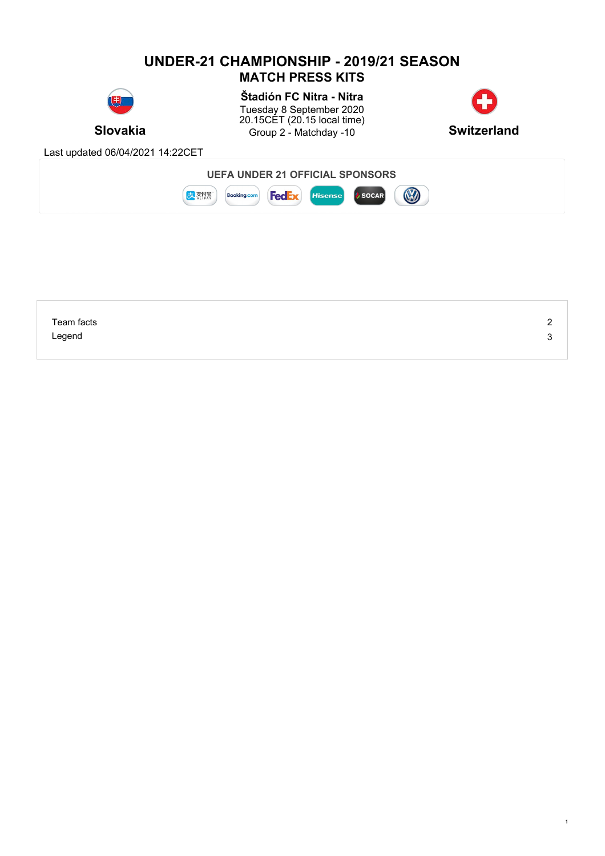# **UNDER-21 CHAMPIONSHIP - 2019/21 SEASON MATCH PRESS KITS**



**Slovakia** Group 2 - Matchday -10 **Switzerland Štadión FC Nitra - Nitra** Tuesday 8 September 2020 20.15CET (20.15 local time)



1

Last updated 06/04/2021 14:22CET



| Team facts | - |
|------------|---|
| Legend     | w |
|            |   |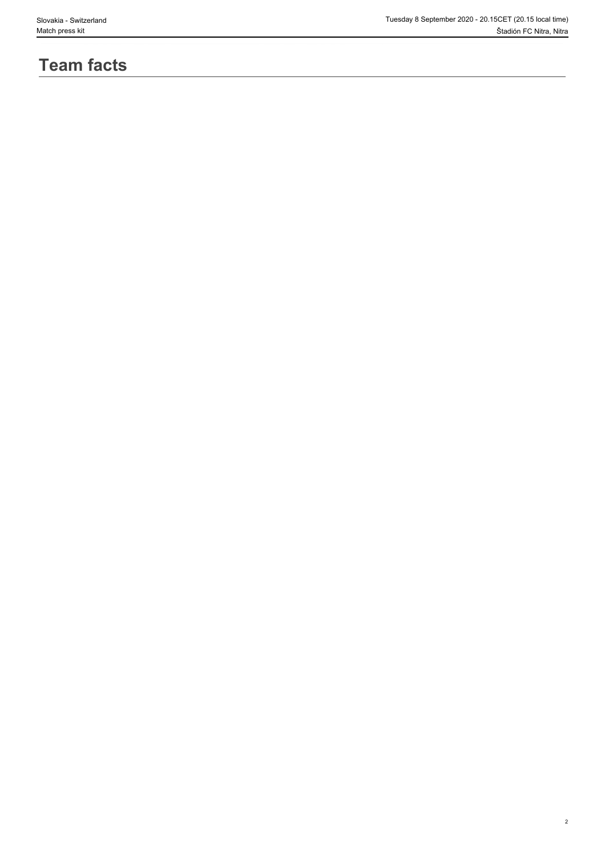2

# **Team facts**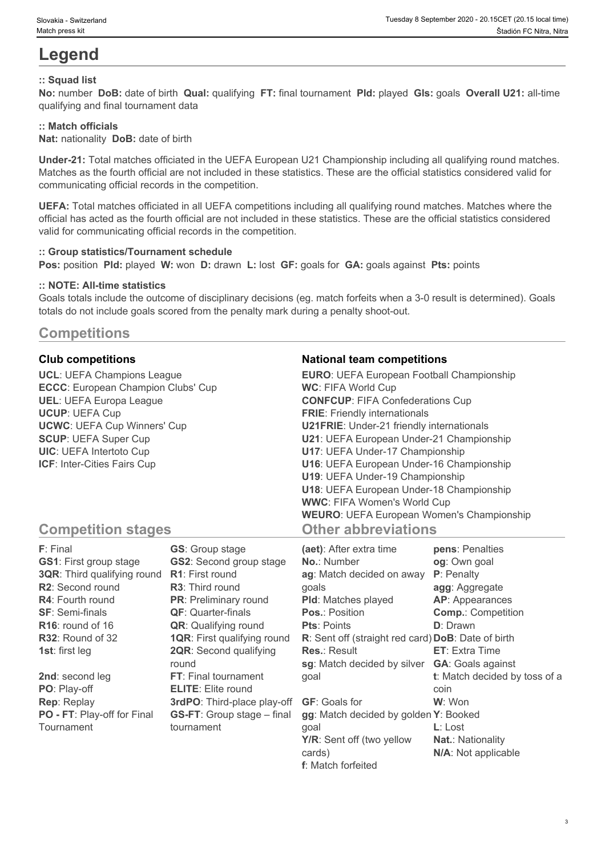# **Legend**

## **:: Squad list**

**No:** number **DoB:** date of birth **Qual:** qualifying **FT:** final tournament **Pld:** played **Gls:** goals **Overall U21:** all-time qualifying and final tournament data

## **:: Match officials**

**Nat:** nationality **DoB:** date of birth

**Under-21:** Total matches officiated in the UEFA European U21 Championship including all qualifying round matches. Matches as the fourth official are not included in these statistics. These are the official statistics considered valid for communicating official records in the competition.

**UEFA:** Total matches officiated in all UEFA competitions including all qualifying round matches. Matches where the official has acted as the fourth official are not included in these statistics. These are the official statistics considered valid for communicating official records in the competition.

#### **:: Group statistics/Tournament schedule**

**Pos:** position **Pld:** played **W:** won **D:** drawn **L:** lost **GF:** goals for **GA:** goals against **Pts:** points

#### **:: NOTE: All-time statistics**

Goals totals include the outcome of disciplinary decisions (eg. match forfeits when a 3-0 result is determined). Goals totals do not include goals scored from the penalty mark during a penalty shoot-out.

# **Competitions**

**UCL**: UEFA Champions League **ECCC**: European Champion Clubs' Cup **UEL**: UEFA Europa League **UCUP**: UEFA Cup **UCWC**: UEFA Cup Winners' Cup **SCUP**: UEFA Super Cup **UIC**: UEFA Intertoto Cup **ICF**: Inter-Cities Fairs Cup

## **Club competitions National team competitions**

| <b>EURO:</b> UEFA European Football Championship |  |
|--------------------------------------------------|--|
| <b>WC: FIFA World Cup</b>                        |  |
| <b>CONFCUP: FIFA Confederations Cup</b>          |  |
| <b>FRIE:</b> Friendly internationals             |  |
| <b>U21FRIE:</b> Under-21 friendly internationals |  |
| U21: UEFA European Under-21 Championship         |  |
| U17: UEFA Under-17 Championship                  |  |
| U16: UEFA European Under-16 Championship         |  |
| U19: UEFA Under-19 Championship                  |  |
| U18: UEFA European Under-18 Championship         |  |
| <b>WWC: FIFA Women's World Cup</b>               |  |
| <b>WEURO: UEFA European Women's Championship</b> |  |
| <b>Other abbreviations</b>                       |  |

# **Competition stages**

| <b>F</b> : Final                   | <b>GS:</b> Group stage             | (aet): After extra time                            | pens: Penalties               |
|------------------------------------|------------------------------------|----------------------------------------------------|-------------------------------|
| <b>GS1:</b> First group stage      | <b>GS2: Second group stage</b>     | <b>No.: Number</b>                                 | og: Own goal                  |
| <b>3QR:</b> Third qualifying round | <b>R1:</b> First round             | ag: Match decided on away                          | P: Penalty                    |
| R2: Second round                   | <b>R3:</b> Third round             | qoals                                              | agg: Aggregate                |
| R4: Fourth round                   | <b>PR:</b> Preliminary round       | <b>PId:</b> Matches played                         | AP: Appearances               |
| <b>SF: Semi-finals</b>             | <b>QF: Quarter-finals</b>          | <b>Pos.: Position</b>                              | <b>Comp.: Competition</b>     |
| $R16$ : round of 16                | <b>QR:</b> Qualifying round        | <b>Pts: Points</b>                                 | <b>D</b> : Drawn              |
| R32: Round of 32                   | <b>1QR:</b> First qualifying round | R: Sent off (straight red card) DoB: Date of birth |                               |
| <b>1st:</b> first leg              | <b>2QR:</b> Second qualifying      | <b>Res.: Result</b>                                | <b>ET:</b> Extra Time         |
|                                    | round                              | sg: Match decided by silver                        | <b>GA:</b> Goals against      |
| 2nd: second leg                    | FT: Final tournament               | goal                                               | t: Match decided by toss of a |
| PO: Play-off                       | <b>ELITE:</b> Elite round          |                                                    | coin                          |
| <b>Rep: Replay</b>                 | 3rdPO: Third-place play-off        | <b>GF: Goals for</b>                               | <b>W</b> : Won                |
| PO - FT: Play-off for Final        | <b>GS-FT:</b> Group stage – final  | gg: Match decided by golden Y: Booked              |                               |
| Tournament                         | tournament                         | goal                                               | $L:$ Lost                     |
|                                    |                                    | Y/R: Sent off (two yellow                          | Nat.: Nationality             |
|                                    |                                    | cards)                                             | N/A: Not applicable           |

**f**: Match forfeited